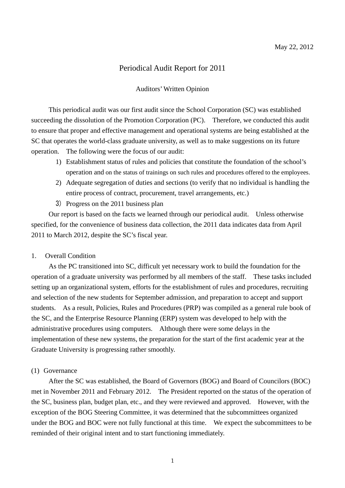# Periodical Audit Report for 2011

## Auditors' Written Opinion

This periodical audit was our first audit since the School Corporation (SC) was established succeeding the dissolution of the Promotion Corporation (PC). Therefore, we conducted this audit to ensure that proper and effective management and operational systems are being established at the SC that operates the world-class graduate university, as well as to make suggestions on its future operation. The following were the focus of our audit:

- 1) Establishment status of rules and policies that constitute the foundation of the school's operation and on the status of trainings on such rules and procedures offered to the employees.
- 2) Adequate segregation of duties and sections (to verify that no individual is handling the entire process of contract, procurement, travel arrangements, etc.)
- 3) Progress on the 2011 business plan

Our report is based on the facts we learned through our periodical audit. Unless otherwise specified, for the convenience of business data collection, the 2011 data indicates data from April 2011 to March 2012, despite the SC's fiscal year.

### 1. Overall Condition

As the PC transitioned into SC, difficult yet necessary work to build the foundation for the operation of a graduate university was performed by all members of the staff. These tasks included setting up an organizational system, efforts for the establishment of rules and procedures, recruiting and selection of the new students for September admission, and preparation to accept and support students. As a result, Policies, Rules and Procedures (PRP) was compiled as a general rule book of the SC, and the Enterprise Resource Planning (ERP) system was developed to help with the administrative procedures using computers. Although there were some delays in the implementation of these new systems, the preparation for the start of the first academic year at the Graduate University is progressing rather smoothly.

## (1) Governance

After the SC was established, the Board of Governors (BOG) and Board of Councilors (BOC) met in November 2011 and February 2012. The President reported on the status of the operation of the SC, business plan, budget plan, etc., and they were reviewed and approved. However, with the exception of the BOG Steering Committee, it was determined that the subcommittees organized under the BOG and BOC were not fully functional at this time. We expect the subcommittees to be reminded of their original intent and to start functioning immediately.

1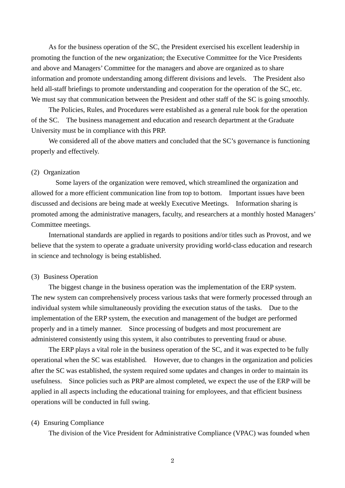As for the business operation of the SC, the President exercised his excellent leadership in promoting the function of the new organization; the Executive Committee for the Vice Presidents and above and Managers' Committee for the managers and above are organized as to share information and promote understanding among different divisions and levels. The President also held all-staff briefings to promote understanding and cooperation for the operation of the SC, etc. We must say that communication between the President and other staff of the SC is going smoothly.

 The Policies, Rules, and Procedures were established as a general rule book for the operation of the SC. The business management and education and research department at the Graduate University must be in compliance with this PRP.

We considered all of the above matters and concluded that the SC's governance is functioning properly and effectively.

### (2) Organization

Some layers of the organization were removed, which streamlined the organization and allowed for a more efficient communication line from top to bottom. Important issues have been discussed and decisions are being made at weekly Executive Meetings. Information sharing is promoted among the administrative managers, faculty, and researchers at a monthly hosted Managers' Committee meetings.

 International standards are applied in regards to positions and/or titles such as Provost, and we believe that the system to operate a graduate university providing world-class education and research in science and technology is being established.

## (3) Business Operation

The biggest change in the business operation was the implementation of the ERP system. The new system can comprehensively process various tasks that were formerly processed through an individual system while simultaneously providing the execution status of the tasks. Due to the implementation of the ERP system, the execution and management of the budget are performed properly and in a timely manner. Since processing of budgets and most procurement are administered consistently using this system, it also contributes to preventing fraud or abuse.

 The ERP plays a vital role in the business operation of the SC, and it was expected to be fully operational when the SC was established. However, due to changes in the organization and policies after the SC was established, the system required some updates and changes in order to maintain its usefulness. Since policies such as PRP are almost completed, we expect the use of the ERP will be applied in all aspects including the educational training for employees, and that efficient business operations will be conducted in full swing.

## (4) Ensuring Compliance

The division of the Vice President for Administrative Compliance (VPAC) was founded when

2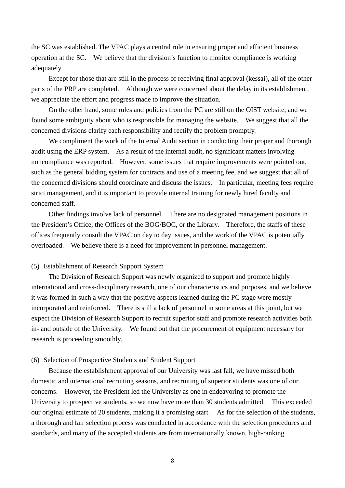the SC was established. The VPAC plays a central role in ensuring proper and efficient business operation at the SC. We believe that the division's function to monitor compliance is working adequately.

 Except for those that are still in the process of receiving final approval (kessai), all of the other parts of the PRP are completed. Although we were concerned about the delay in its establishment, we appreciate the effort and progress made to improve the situation.

 On the other hand, some rules and policies from the PC are still on the OIST website, and we found some ambiguity about who is responsible for managing the website. We suggest that all the concerned divisions clarify each responsibility and rectify the problem promptly.

 We compliment the work of the Internal Audit section in conducting their proper and thorough audit using the ERP system. As a result of the internal audit, no significant matters involving noncompliance was reported. However, some issues that require improvements were pointed out, such as the general bidding system for contracts and use of a meeting fee, and we suggest that all of the concerned divisions should coordinate and discuss the issues. In particular, meeting fees require strict management, and it is important to provide internal training for newly hired faculty and concerned staff.

 Other findings involve lack of personnel. There are no designated management positions in the President's Office, the Offices of the BOG/BOC, or the Library. Therefore, the staffs of these offices frequently consult the VPAC on day to day issues, and the work of the VPAC is potentially overloaded. We believe there is a need for improvement in personnel management.

## (5) Establishment of Research Support System

The Division of Research Support was newly organized to support and promote highly international and cross-disciplinary research, one of our characteristics and purposes, and we believe it was formed in such a way that the positive aspects learned during the PC stage were mostly incorporated and reinforced. There is still a lack of personnel in some areas at this point, but we expect the Division of Research Support to recruit superior staff and promote research activities both in- and outside of the University. We found out that the procurement of equipment necessary for research is proceeding smoothly.

## (6) Selection of Prospective Students and Student Support

Because the establishment approval of our University was last fall, we have missed both domestic and international recruiting seasons, and recruiting of superior students was one of our concerns. However, the President led the University as one in endeavoring to promote the University to prospective students, so we now have more than 30 students admitted. This exceeded our original estimate of 20 students, making it a promising start. As for the selection of the students, a thorough and fair selection process was conducted in accordance with the selection procedures and standards, and many of the accepted students are from internationally known, high-ranking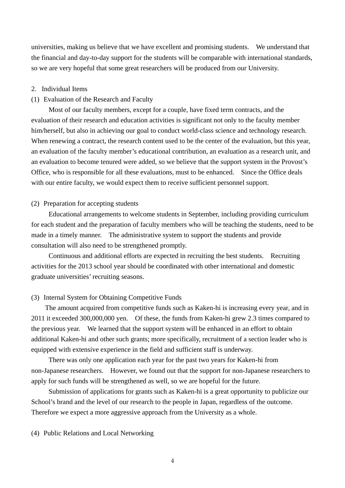universities, making us believe that we have excellent and promising students. We understand that the financial and day-to-day support for the students will be comparable with international standards, so we are very hopeful that some great researchers will be produced from our University.

#### 2. Individual Items

### (1) Evaluation of the Research and Faculty

Most of our faculty members, except for a couple, have fixed term contracts, and the evaluation of their research and education activities is significant not only to the faculty member him/herself, but also in achieving our goal to conduct world-class science and technology research. When renewing a contract, the research content used to be the center of the evaluation, but this year, an evaluation of the faculty member's educational contribution, an evaluation as a research unit, and an evaluation to become tenured were added, so we believe that the support system in the Provost's Office, who is responsible for all these evaluations, must to be enhanced. Since the Office deals with our entire faculty, we would expect them to receive sufficient personnel support.

## (2) Preparation for accepting students

Educational arrangements to welcome students in September, including providing curriculum for each student and the preparation of faculty members who will be teaching the students, need to be made in a timely manner. The administrative system to support the students and provide consultation will also need to be strengthened promptly.

 Continuous and additional efforts are expected in recruiting the best students. Recruiting activities for the 2013 school year should be coordinated with other international and domestic graduate universities' recruiting seasons.

## (3) Internal System for Obtaining Competitive Funds

The amount acquired from competitive funds such as Kaken-hi is increasing every year, and in 2011 it exceeded 300,000,000 yen. Of these, the funds from Kaken-hi grew 2.3 times compared to the previous year. We learned that the support system will be enhanced in an effort to obtain additional Kaken-hi and other such grants; more specifically, recruitment of a section leader who is equipped with extensive experience in the field and sufficient staff is underway.

 There was only one application each year for the past two years for Kaken-hi from non-Japanese researchers. However, we found out that the support for non-Japanese researchers to apply for such funds will be strengthened as well, so we are hopeful for the future.

 Submission of applications for grants such as Kaken-hi is a great opportunity to publicize our School's brand and the level of our research to the people in Japan, regardless of the outcome. Therefore we expect a more aggressive approach from the University as a whole.

(4) Public Relations and Local Networking

4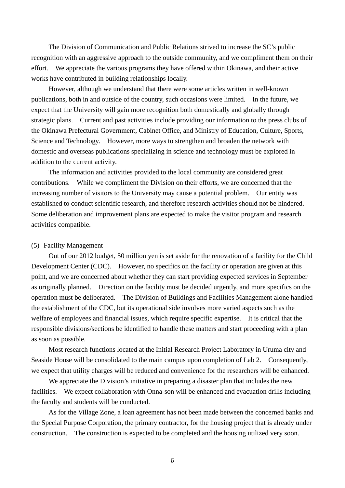The Division of Communication and Public Relations strived to increase the SC's public recognition with an aggressive approach to the outside community, and we compliment them on their effort. We appreciate the various programs they have offered within Okinawa, and their active works have contributed in building relationships locally.

 However, although we understand that there were some articles written in well-known publications, both in and outside of the country, such occasions were limited. In the future, we expect that the University will gain more recognition both domestically and globally through strategic plans. Current and past activities include providing our information to the press clubs of the Okinawa Prefectural Government, Cabinet Office, and Ministry of Education, Culture, Sports, Science and Technology. However, more ways to strengthen and broaden the network with domestic and overseas publications specializing in science and technology must be explored in addition to the current activity.

 The information and activities provided to the local community are considered great contributions. While we compliment the Division on their efforts, we are concerned that the increasing number of visitors to the University may cause a potential problem. Our entity was established to conduct scientific research, and therefore research activities should not be hindered. Some deliberation and improvement plans are expected to make the visitor program and research activities compatible.

### (5) Facility Management

Out of our 2012 budget, 50 million yen is set aside for the renovation of a facility for the Child Development Center (CDC). However, no specifics on the facility or operation are given at this point, and we are concerned about whether they can start providing expected services in September as originally planned. Direction on the facility must be decided urgently, and more specifics on the operation must be deliberated. The Division of Buildings and Facilities Management alone handled the establishment of the CDC, but its operational side involves more varied aspects such as the welfare of employees and financial issues, which require specific expertise. It is critical that the responsible divisions/sections be identified to handle these matters and start proceeding with a plan as soon as possible.

 Most research functions located at the Initial Research Project Laboratory in Uruma city and Seaside House will be consolidated to the main campus upon completion of Lab 2. Consequently, we expect that utility charges will be reduced and convenience for the researchers will be enhanced.

 We appreciate the Division's initiative in preparing a disaster plan that includes the new facilities. We expect collaboration with Onna-son will be enhanced and evacuation drills including the faculty and students will be conducted.

 As for the Village Zone, a loan agreement has not been made between the concerned banks and the Special Purpose Corporation, the primary contractor, for the housing project that is already under construction. The construction is expected to be completed and the housing utilized very soon.